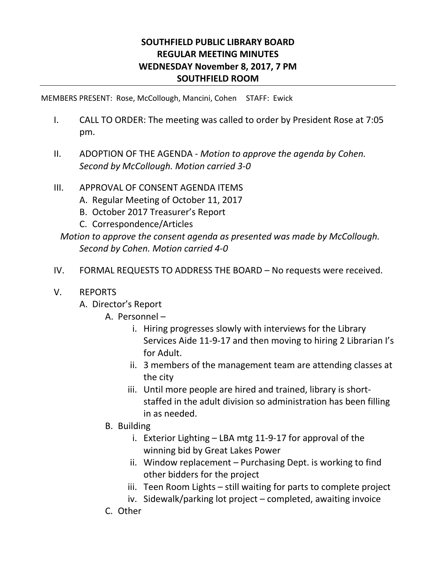## **SOUTHFIELD PUBLIC LIBRARY BOARD REGULAR MEETING MINUTES WEDNESDAY November 8, 2017, 7 PM SOUTHFIELD ROOM**

MEMBERS PRESENT: Rose, McCollough, Mancini, Cohen STAFF: Ewick

- I. CALL TO ORDER: The meeting was called to order by President Rose at 7:05 pm.
- II. ADOPTION OF THE AGENDA *Motion to approve the agenda by Cohen. Second by McCollough. Motion carried 3-0*
- III. APPROVAL OF CONSENT AGENDA ITEMS
	- A. Regular Meeting of October 11, 2017
	- B. October 2017 Treasurer's Report
	- C. Correspondence/Articles

*Motion to approve the consent agenda as presented was made by McCollough. Second by Cohen. Motion carried 4-0*

IV. FORMAL REQUESTS TO ADDRESS THE BOARD – No requests were received.

## V. REPORTS

- A. Director's Report
	- A. Personnel
		- i. Hiring progresses slowly with interviews for the Library Services Aide 11-9-17 and then moving to hiring 2 Librarian I's for Adult.
		- ii. 3 members of the management team are attending classes at the city
		- iii. Until more people are hired and trained, library is shortstaffed in the adult division so administration has been filling in as needed.
	- B. Building
		- i. Exterior Lighting LBA mtg 11-9-17 for approval of the winning bid by Great Lakes Power
		- ii. Window replacement Purchasing Dept. is working to find other bidders for the project
		- iii. Teen Room Lights still waiting for parts to complete project
		- iv. Sidewalk/parking lot project completed, awaiting invoice
	- C. Other